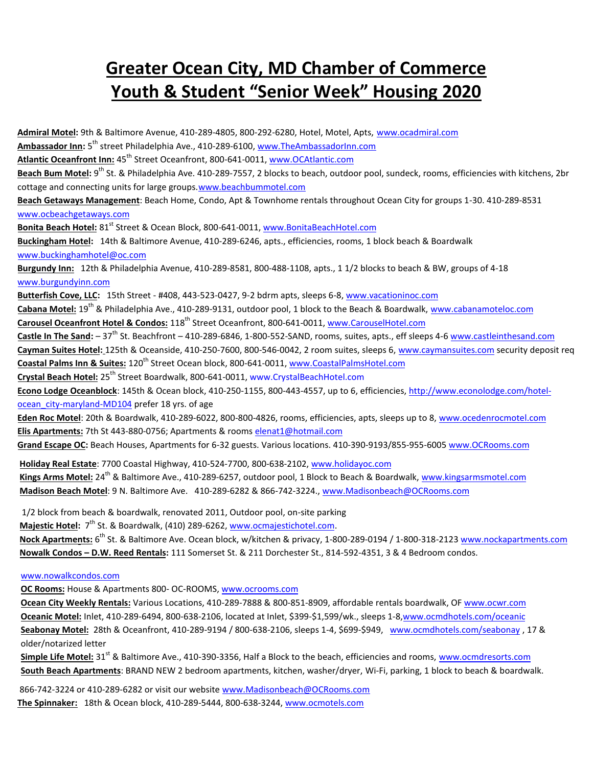## **Greater Ocean City, MD Chamber of Commerce Youth & Student "Senior Week" Housing 2020**

**Admiral Motel:** 9th & Baltimore Avenue, 410-289-4805, 800-292-6280, Hotel, Motel, Apts, [www.ocadmiral.com](http://www.ocadmiral.com/) **Ambassador Inn:** 5th street Philadelphia Ave., 410-289-6100, [www.TheAmbassadorInn.com](http://www.theambassadorinn.com/) Atlantic Oceanfront Inn: 45<sup>th</sup> Street Oceanfront, 800-641-0011, [www.OCAtlantic.com](http://www.ocatlantic.com/) **Beach Bum Motel:** 9<sup>th</sup> St. & Philadelphia Ave. 410-289-7557, 2 blocks to beach, outdoor pool, sundeck, rooms, efficiencies with kitchens, 2br cottage and connecting units for large groups[.www.beachbummotel.com](http://www.beachbummotel.com/) **Beach Getaways Management**: Beach Home, Condo, Apt & Townhome rentals throughout Ocean City for groups 1-30. 410-289-8531 [www.ocbeachgetaways.com](http://www.ocbeachgetaways.com/) Bonita Beach Hotel: 81<sup>st</sup> Street & Ocean Block, 800-641-0011, [www.BonitaBeachHotel.com](http://www.bonitabeachhotel.com/) **Buckingham Hotel:** 14th & Baltimore Avenue, 410-289-6246, apts., efficiencies, rooms, 1 block beach & Boardwalk [www.buckinghamhotel@oc.com](http://www.buckinghamhotel@oc.com/) **Burgundy Inn:** 12th & Philadelphia Avenue, 410-289-8581, 800-488-1108, apts., 1 1/2 blocks to beach & BW, groups of 4-18 [www.burgundyinn.com](http://www.burgundyinn.com/) **Butterfish Cove, LLC:** 15th Street - #408, 443-523-0427, 9-2 bdrm apts, sleeps 6-8[, www.vacationinoc.com](http://www.vacationinoc.com/) Cabana Motel: 19<sup>th</sup> & Philadelphia Ave., 410-289-9131, outdoor pool, 1 block to the Beach & Boardwalk[, www.cabanamoteloc.com](http://www.cabanamoteloc.com/) **Carousel Oceanfront Hotel & Condos:** 118th Street Oceanfront, 800-641-0011, [www.CarouselHotel.com](http://www.carouselhotel.com/) Castle In The Sand: -37<sup>th</sup> St. Beachfront -410-289-6846, 1-800-552-SAND, rooms, suites, apts., eff sleeps 4-[6 www.castleinthesand.com](http://www.castleinthesand.com/) **Cayman Suites Hotel:** 125th & Oceanside, 410-250-7600, 800-546-0042, 2 room suites, sleeps 6, [www.caymansuites.com](http://www.caymansuites.com/) security deposit req **Coastal Palms Inn & Suites:** 120th Street Ocean block, 800-641-0011, [www.CoastalPalmsHotel.com](http://www.coastalpalmshotel.com/) **Crystal Beach Hotel:** 25th Street Boardwalk, 800-641-0011, [www.CrystalBeachHotel.com](http://www.crystalbeachhotel.com/) **Econo Lodge Oceanblock**: 145th & Ocean block, 410-250-1155, 800-443-4557, up to 6, efficiencies, [http://www.econolodge.com/hotel](http://www.econolodge.com/hotel-ocean_city-maryland-MD104)[ocean\\_city-maryland-MD104](http://www.econolodge.com/hotel-ocean_city-maryland-MD104) prefer 18 yrs. of age **Eden Roc Motel**: 20th & Boardwalk, 410-289-6022, 800-800-4826, rooms, efficiencies, apts, sleeps up to 8, [www.ocedenrocmotel.com](http://www.ocedenrocmotel.com/) **Elis Apartments:** 7th St 443-880-0756; Apartments & rooms [elenat1@hotmail.com](mailto:elenat1@hotmail.com) Grand Escape OC: Beach Houses, Apartments for 6-32 guests. Various locations. 410-390-9193/855-955-6005 www.OCRooms.com **Holiday Real Estate**: 7700 Coastal Highway, 410-524-7700, 800-638-2102, www.holidayoc.com **[Kings Arms Motel:](mailto:aloha@beachin.net)** 24th & Baltimore Ave., 410-289-6257, outdoor pool, 1 Block to Beach & Boardwalk, www.kingsarmsmotel.com **Madison Beach Motel**: 9 N. Baltimore Ave. 410-289-6282 & 866-742-32[24., www.Madisonbea](http://www.holidayoc.com/)ch@O[CRooms.com](http://www.kingsarmsmotel.com/) 1/2 block from beach & boardwalk, renovated 2011, Outdoor pool, on-site [parking](http://www.Madisonbeach@ocrooms.com/)  Majestic Hotel: 7<sup>th</sup> St. & Boardwalk, (410) 289-6262, www.ocmajestichotel.com. **Nock Apartments:** 6 th St. & Baltimore Ave. Ocean bl[ock, w/kitchen & privacy, 1-8](http://www.ocmajestichotel.com/)00-289-0194 / 1-800-318-2123 www.nockapartments.com **Nowalk Condos – D.W. Reed Rentals:** 111 Somerset St. & 211 Dorchester St., 814-592-4351, 3 & 4 Bedroom c[ondos.](http://www.nockapartments.com/)  [www.nowalkcondos.com](http://www.nowalkcondos.com/)

**OC Rooms:** House & Apartments 800- OC-ROOM[S, www.ocrooms.com](http://www.ocrooms.com/)

**Ocean City Weekly Rentals:** Various Locations, 410-289-7888 & 800-851-8909, affordable rentals boardwalk, O[F www.ocwr.com](http://www.ocwr.com/) **Oceanic Motel:** Inlet, 410-289-6494, 800-638-2106, located at Inlet, \$399-\$1,599/wk., sleeps 1-[8,www.ocmdhotels.com/oceanic](http://www.ocmdhotels.com/oceanic) **Seabonay Motel:** 28th & Oceanfront, 410-289-9194 / 800-638-2106, sleeps 1-4, \$699-\$949, [www.ocmdhotels.com/seabonay](http://www.ocmdhotels.com/seabonay) , 17 & older/notarized letter

**Simple Life Motel:** 31<sup>st</sup> & Baltimore Ave., 410-390-3356, Half a Block to the beach, efficiencies and room[s, www.ocmdresorts.com](http://www.ocmdresorts.com/) **South Beach Apartments**: BRAND NEW 2 bedroom apartments, kitchen, washer/dryer, Wi-Fi, parking, 1 block to beach & boardwalk.

866-742-3224 or 410-289-6282 or visit our websit[e www.Madisonbeach@OCRooms.com](http://www.Madisonbeach@ocrooms.com/) **The Spinnaker:** 18th & Ocean block, 410-289-5444, 800-638-3244[, www.ocmotels.com](http://www.ocmotels.com/)